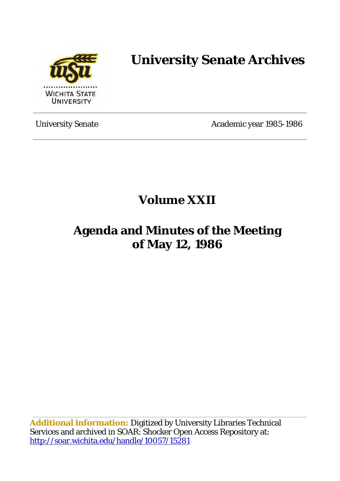

# **University Senate Archives**

University Senate Academic year 1985-1986

# **Volume XXII**

# **Agenda and Minutes of the Meeting of May 12, 1986**

**Additional information:** Digitized by University Libraries Technical Services and archived in SOAR: Shocker Open Access Repository at: <http://soar.wichita.edu/handle/10057/15281>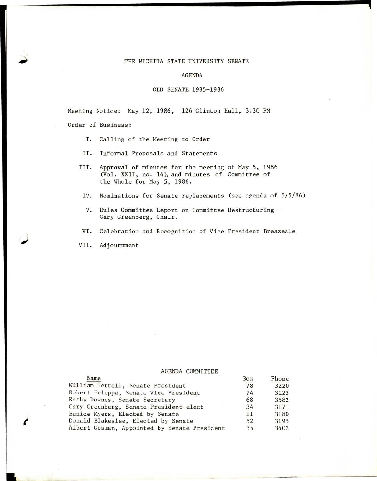## THE WICHITA STATE UNIVERSITY SENATE

### AGENDA

### OLD SENATE 1985-1986

Meeting Notice: May 12, 1986, 126 Clinton Hall, 3:30 PM Order of Business:

- I. Calling of the Meeting to Order
- II. Informal Proposals and Statements
- III. Approval of minutes for the meeting of May 5, 1986 (Vol. XXII, no. 14), and minutes of Committee of the Whole £or May 5, 1986.
- IV. Nominations for Senate replacements (see agenda of 5/5/86)
- V. Rules Committee Report on Committee Restructuring-- Gary Greenberg, Chair.
- VI. Celebration and Recognition of Vice President Breazeale

VII. Adjournment

**9 1** 

#### AGENDA COMMITTEE

| Name                                         | Box | Phone |
|----------------------------------------------|-----|-------|
| William Terrell, Senate President            | 78  | 3220  |
| Robert Feleppa, Senate Vice President        | 74  | 3125  |
| Kathy Downes, Senate Secretary               | 68  | 3582  |
| Gary Greenberg, Senate President-elect       | 34  | 3171  |
| Eunice Myers, Elected by Senate              | 11  | 3180  |
| Donald Blakeslee, Elected by Senate          | 52  | 3195  |
| Albert Gosman, Appointed by Senate President | 35  | 3402  |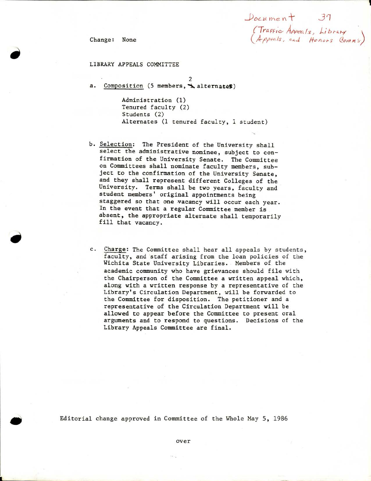$Document 37$ *(Tra.FF,·c., A.P.,:>ec-Js, L; b;..4-1---y·* ·) (Appeals, and Honors Comms

Change: None

#### LIBRARY APPEALS COMMITTEE

2 a. Composition (5 members, **L** alternates)

> Administration (1) Tenured faculty (2) Students (2) Alternates (1 tenured faculty, l student)

- b. Selection: The President of the University shall select the administrative nominee, subject to confirmation of the University Senate. The Committee on Committees shall nominate faculty members, subject to the confirmation of the University Senate, and they shall represent different Colleges of the University. Terms shall be two years, faculty and student members' original appointments being staggered so that one vacancy will occur each year. In the event that a regular Committee member is absent, the appropriate alternate shall temporarily fill that vacancy.
- c. Charge: The Committee shall hear all appeals by students, faculty, and staff arising from the loan policies of the Wichita State University Libraries. Members of the academic community who have grievances should file with the Chairperson of the Committee a written appeal which, along with a written response by a representative of the Library's Circulation Department, will be forwarded to the Committee for disposition. The petitioner and a representative of the Circulation Department will be allowed to appear before the Committee to present oral arguments and to respond to questions. Decisions of the Library Appeals Committee are final.

Editorial change approved in Committee of the Whole May 5, 1986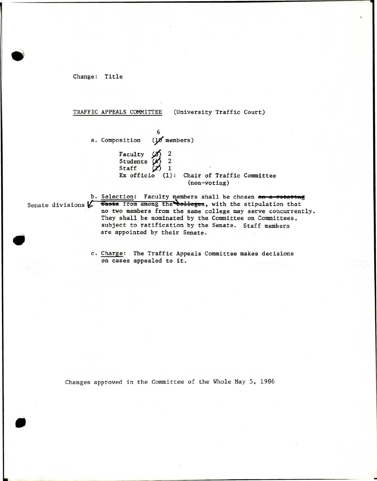Change: Title

TRAFFIC APPEALS COMMITTEE (University Traffic Court)

6 a. Composition (10 members)

> Faculty Faculty  $\begin{pmatrix} 2 \\ 1 \end{pmatrix}$  2<br>Students  $\begin{pmatrix} 1 \\ 2 \end{pmatrix}$  2 Staff Faculty  $\begin{pmatrix} 2 \\ 1 \end{pmatrix}$  2<br>Students  $\begin{pmatrix} 1 \\ 2 \end{pmatrix}$  2<br>Staff  $\begin{pmatrix} 2 \\ 1 \end{pmatrix}$  1<br>Ex officio (1): Chair of Traffic Committee (non-voting)

b. Selection: Faculty members shall be chosen on a rotating Senate divisions  $\sqrt{\frac{5a}{60}}$  **from among the elleges, with the stipulation that** no two members from the same college may serve concurrently . They shall be nominated by the Committee on Committees, subject to ratification by the Senate. Staff members are appointed by their Senate.

..

c. Charge: The Traffic Appeals Committee makes decisions pn cases appealed to it.

Changes approved in the Committee of the Whole May 5, 1986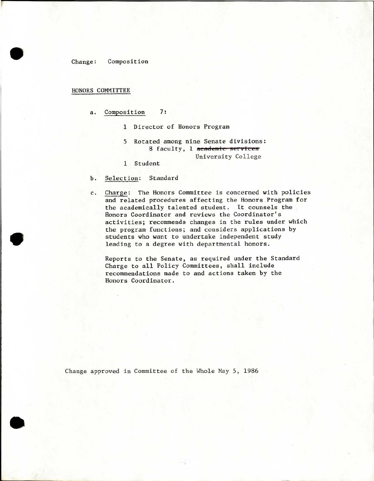Change: Composition

HONORS COMMITTEE

•

•

•

- a. Composition 7:
	- 1 Director of Honors Program
	- 5 Rotated among nine Senate divisions: 8 faculty, 1 academic services University College
	- 1 Student
- b. Selection: Standard
- c. Charge: The Honors Committee is concerned with policies and related procedures affecting the Honors Program for the academically talented student. It counsels the Honors Coordinator and reviews the Coordinator's activities; recommends changes in the rules under which the program functions; and considers applications by students who want to undertake independent study leading to a degree with departmental honors.

Reports to the Senate, as required under the Standard Charge to all Policy Committees, shall include recommendations made to and actions taken by the Honors Coordinator.

Change approved in Committee of the Whole May 5, 1986

HE.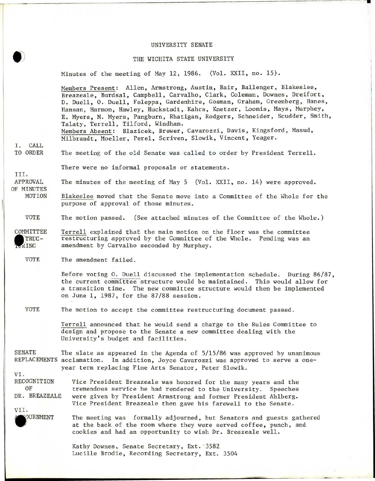#### UNIVERSITY SENATE

### THE WICHITA STATE UNIVERSITY

Minutes of the meeting of May 12, 1986. (Vol. XXII, no. 15).

Members Present: Allen, Armstrong, Austin, Bair, Ballenger, Blakeslee, Breazeale, Burdsal, Campbell, Carvalho, Clark, Coleman, Downes, Dreifort, D. Duell, 0. Duell, Feleppa, Gardenhire, Gosman, Graham, Greenberg, Hanes, Hansan, Harmon, Hawley, Huckstadt, Kahrs, Knetzer, Loomis, Mays, Murphey, E. Myers, M. Myers, Pangburn, Rhatigan, Rodgers, Schneider, Scudder, Smith, Talaty, Terrell, Tilford, Windham. Members Absent: Blazicek, Brewer, Cavarozzi, Davis, Kingsford, Masud,

•

Milbrandt, Moeller, Perel, Scriven, Slowik, Vincent, Yeager.

I. CALL TO ORDER

The meeting of the old Senate was called to order by President Terrell.

There were no informal proposals or statements.

III. APPROVAL OF MINUTES

Blakeslee moved that the Senate move into a Committee of the Whole for the purpose of approval of those minutes.

The minutes of the meeting of May 5 (Vol. XXII, no. 14) were approved.

The motion passed. (See attached minutes 0£ the Committee of the Whole.)

COMMITTEE **l f\rRUC -** ~ING Terrell explained that the main motion on the floor was the committee restructuring approved by the Committee of the Whole. Pending was an amendment by Carvalho seconded by Murphey.

VOTE The amendment failed.

> Before voting 0. Duell discussed the implementation schedule. During 86/87, the current committee structure would be maintained. This would allow for a transition time. The new committee structure would then be implemented on June 1, 1987, for the 87/88 session.

VOTE The motion to accept the committee restructuring document passed.

> Terrell announced that he would send a charge to the Rules Committee to design and propose to the Senate a new committee dealing with the University's budget and facilities.

SENATE REPLACEMENTS acclamation. In addition, Joyce Cavarozzi was approved to serve a one-The slate as appeared in the Agenda of 5/15/86 was approved by unanimous year term replacing Fine Arts Senator, Peter Slowik.

VI.

RECOGNITION OF DR. BREAZEALE Vice President Breazeale was honored for the many years and the tremendous service he had rendered to the University. Speeches were given by President Armstrong and former President Ahlberg. Vice President Breazeale then gave his farewell to the Senate.

VII.

. URNMENT The meeting was formally adjourned, but Senators and guests gathered at the back of the room where they were served coffee, punch, and cookies and had an opportunity to wish Dr. Breazeale well.

> Kathy Downes, Senate Secretary, Ext. 3582 Lucille Brodie, Recording Secretary, Ext. 3504

MOTION

VOTE